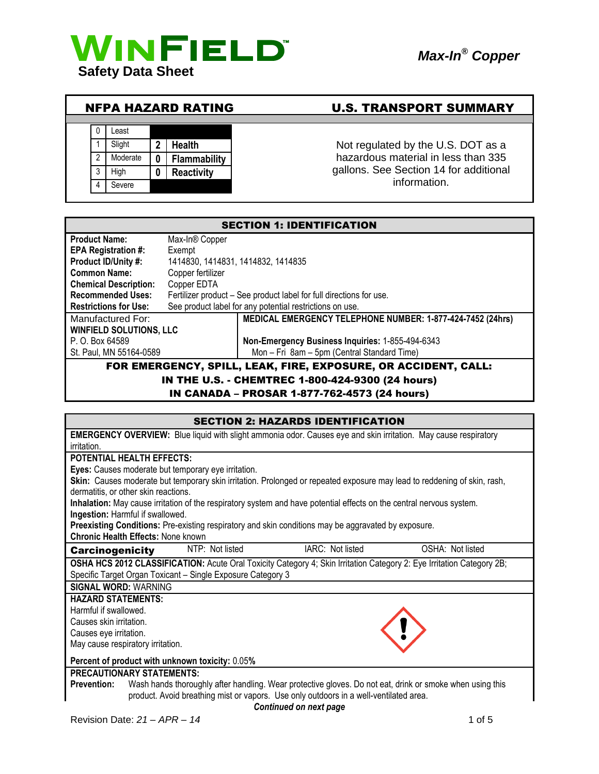





## NFPA HAZARD RATING U.S. TRANSPORT SUMMARY

1 Slight 2 Health **1** Not regulated by the U.S. DOT as a hazardous material in less than 335 gallons. See Section 14 for additional information.

| <b>SECTION 1: IDENTIFICATION</b>                               |                                                                     |  |  |
|----------------------------------------------------------------|---------------------------------------------------------------------|--|--|
| <b>Product Name:</b>                                           | Max-In® Copper                                                      |  |  |
| <b>EPA Registration #:</b>                                     | Exempt                                                              |  |  |
| Product ID/Unity #:                                            | 1414830, 1414831, 1414832, 1414835                                  |  |  |
| <b>Common Name:</b>                                            | Copper fertilizer                                                   |  |  |
| <b>Chemical Description:</b>                                   | Copper EDTA                                                         |  |  |
| <b>Recommended Uses:</b>                                       | Fertilizer product – See product label for full directions for use. |  |  |
| <b>Restrictions for Use:</b>                                   | See product label for any potential restrictions on use.            |  |  |
| Manufactured For:                                              | MEDICAL EMERGENCY TELEPHONE NUMBER: 1-877-424-7452 (24hrs)          |  |  |
| <b>WINFIELD SOLUTIONS, LLC</b>                                 |                                                                     |  |  |
| P. O. Box 64589                                                | Non-Emergency Business Inquiries: 1-855-494-6343                    |  |  |
| St. Paul, MN 55164-0589                                        | Mon - Fri 8am - 5pm (Central Standard Time)                         |  |  |
| FOR EMERGENCY, SPILL, LEAK, FIRE, EXPOSURE, OR ACCIDENT, CALL: |                                                                     |  |  |
| IN THE U.S. - CHEMTREC 1-800-424-9300 (24 hours)               |                                                                     |  |  |

IN CANADA – PROSAR 1-877-762-4573 (24 hours)

| <b>SECTION 2: HAZARDS IDENTIFICATION</b>                                                                                       |  |  |  |
|--------------------------------------------------------------------------------------------------------------------------------|--|--|--|
| <b>EMERGENCY OVERVIEW:</b> Blue liquid with slight ammonia odor. Causes eye and skin irritation. May cause respiratory         |  |  |  |
| irritation.                                                                                                                    |  |  |  |
| <b>POTENTIAL HEALTH EFFECTS:</b>                                                                                               |  |  |  |
| Eyes: Causes moderate but temporary eye irritation.                                                                            |  |  |  |
| Skin: Causes moderate but temporary skin irritation. Prolonged or repeated exposure may lead to reddening of skin, rash,       |  |  |  |
| dermatitis, or other skin reactions.                                                                                           |  |  |  |
| Inhalation: May cause irritation of the respiratory system and have potential effects on the central nervous system.           |  |  |  |
| Ingestion: Harmful if swallowed.                                                                                               |  |  |  |
| Preexisting Conditions: Pre-existing respiratory and skin conditions may be aggravated by exposure.                            |  |  |  |
| Chronic Health Effects: None known                                                                                             |  |  |  |
| IARC: Not listed<br>NTP: Not listed<br>OSHA: Not listed<br><b>Carcinogenicity</b>                                              |  |  |  |
| OSHA HCS 2012 CLASSIFICATION: Acute Oral Toxicity Category 4; Skin Irritation Category 2: Eye Irritation Category 2B;          |  |  |  |
| Specific Target Organ Toxicant - Single Exposure Category 3                                                                    |  |  |  |
| <b>SIGNAL WORD: WARNING</b>                                                                                                    |  |  |  |
| <b>HAZARD STATEMENTS:</b>                                                                                                      |  |  |  |
| Harmful if swallowed.                                                                                                          |  |  |  |
| Causes skin irritation.                                                                                                        |  |  |  |
| Causes eye irritation.                                                                                                         |  |  |  |
| May cause respiratory irritation.                                                                                              |  |  |  |
| Percent of product with unknown toxicity: 0.05%                                                                                |  |  |  |
| <b>PRECAUTIONARY STATEMENTS:</b>                                                                                               |  |  |  |
| Wash hands thoroughly after handling. Wear protective gloves. Do not eat, drink or smoke when using this<br><b>Prevention:</b> |  |  |  |
| product. Avoid breathing mist or vapors. Use only outdoors in a well-ventilated area.                                          |  |  |  |
| Continued on next page                                                                                                         |  |  |  |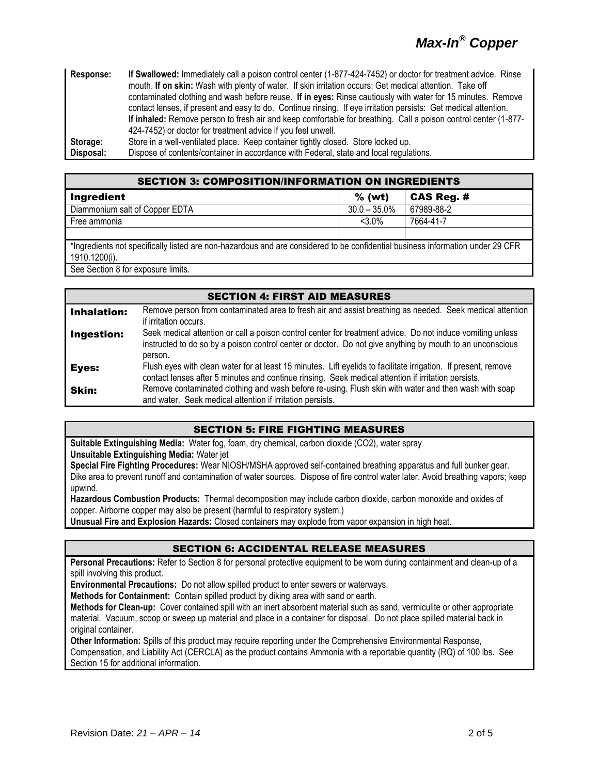# *Max-In® Copper*

**Response: If Swallowed:** Immediately call a poison control center (1-877-424-7452) or doctor for treatment advice. Rinse mouth. **If on skin:** Wash with plenty of water. If skin irritation occurs: Get medical attention. Take off contaminated clothing and wash before reuse. **If in eyes:** Rinse cautiously with water for 15 minutes. Remove contact lenses, if present and easy to do. Continue rinsing. If eye irritation persists: Get medical attention. **If inhaled:** Remove person to fresh air and keep comfortable for breathing. Call a poison control center (1-877- 424-7452) or doctor for treatment advice if you feel unwell. **Storage:** Store in a well-ventilated place. Keep container tightly closed. Store locked up. **Disposal:** Dispose of contents/container in accordance with Federal, state and local regulations.

| <b>SECTION 3: COMPOSITION/INFORMATION ON INGREDIENTS</b>                                                                       |                   |  |  |
|--------------------------------------------------------------------------------------------------------------------------------|-------------------|--|--|
| $%$ (wt)                                                                                                                       | <b>CAS Reg. #</b> |  |  |
| $30.0 - 35.0\%$                                                                                                                | 67989-88-2        |  |  |
| $< 3.0\%$                                                                                                                      | 7664-41-7         |  |  |
|                                                                                                                                |                   |  |  |
| *Ingredients not specifically listed are non-hazardous and are considered to be confidential business information under 29 CFR |                   |  |  |
| 1910.1200(i).<br>.                                                                                                             |                   |  |  |
|                                                                                                                                |                   |  |  |

See Section 8 for exposure limits.

|                    | <b>SECTION 4: FIRST AID MEASURES</b>                                                                                                                                                                                               |  |  |
|--------------------|------------------------------------------------------------------------------------------------------------------------------------------------------------------------------------------------------------------------------------|--|--|
| <b>Inhalation:</b> | Remove person from contaminated area to fresh air and assist breathing as needed. Seek medical attention<br>if irritation occurs.                                                                                                  |  |  |
| Ingestion:         | Seek medical attention or call a poison control center for treatment advice. Do not induce vomiting unless<br>instructed to do so by a poison control center or doctor. Do not give anything by mouth to an unconscious<br>person. |  |  |
| Eyes:              | Flush eyes with clean water for at least 15 minutes. Lift eyelids to facilitate irrigation. If present, remove<br>contact lenses after 5 minutes and continue rinsing. Seek medical attention if irritation persists.              |  |  |
| Skin:              | Remove contaminated clothing and wash before re-using. Flush skin with water and then wash with soap<br>and water. Seek medical attention if irritation persists.                                                                  |  |  |

#### SECTION 5: FIRE FIGHTING MEASURES

**Suitable Extinguishing Media:** Water fog, foam, dry chemical, carbon dioxide (CO2), water spray **Unsuitable Extinguishing Media:** Water jet

**Special Fire Fighting Procedures:** Wear NIOSH/MSHA approved self-contained breathing apparatus and full bunker gear. Dike area to prevent runoff and contamination of water sources. Dispose of fire control water later. Avoid breathing vapors; keep upwind.

**Hazardous Combustion Products:** Thermal decomposition may include carbon dioxide, carbon monoxide and oxides of copper. Airborne copper may also be present (harmful to respiratory system.)

**Unusual Fire and Explosion Hazards:** Closed containers may explode from vapor expansion in high heat.

### SECTION 6: ACCIDENTAL RELEASE MEASURES

**Personal Precautions:** Refer to Section 8 for personal protective equipment to be worn during containment and clean-up of a spill involving this product.

**Environmental Precautions:** Do not allow spilled product to enter sewers or waterways.

**Methods for Containment:** Contain spilled product by diking area with sand or earth.

**Methods for Clean-up:** Cover contained spill with an inert absorbent material such as sand, vermiculite or other appropriate material. Vacuum, scoop or sweep up material and place in a container for disposal. Do not place spilled material back in original container.

**Other Information:** Spills of this product may require reporting under the Comprehensive Environmental Response, Compensation, and Liability Act (CERCLA) as the product contains Ammonia with a reportable quantity (RQ) of 100 lbs. See Section 15 for additional information.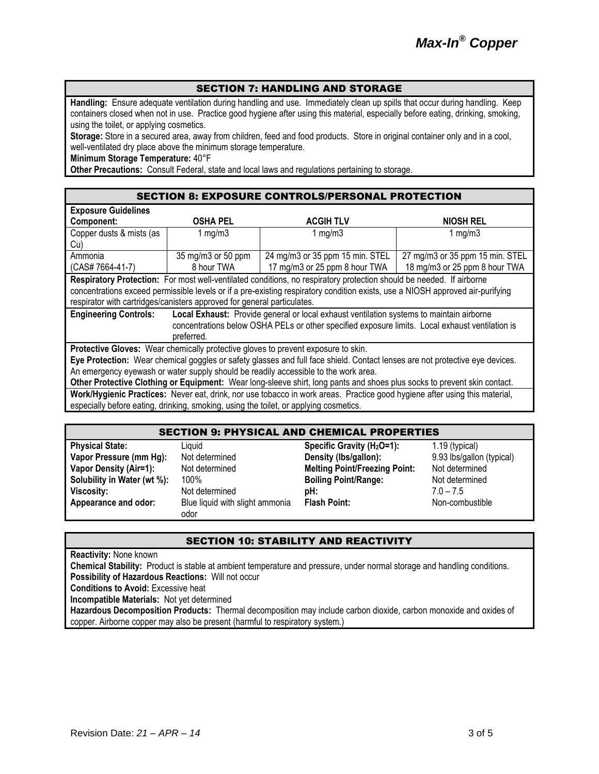#### SECTION 7: HANDLING AND STORAGE

**Handling:** Ensure adequate ventilation during handling and use. Immediately clean up spills that occur during handling. Keep containers closed when not in use. Practice good hygiene after using this material, especially before eating, drinking, smoking, using the toilet, or applying cosmetics.

**Storage:** Store in a secured area, away from children, feed and food products. Store in original container only and in a cool, well-ventilated dry place above the minimum storage temperature.

**Minimum Storage Temperature:** 40°F

**Other Precautions:** Consult Federal, state and local laws and regulations pertaining to storage.

| <b>Exposure Guidelines</b>                                                                                                     |                                                                                                 |                                 |                                 |  |
|--------------------------------------------------------------------------------------------------------------------------------|-------------------------------------------------------------------------------------------------|---------------------------------|---------------------------------|--|
| Component:                                                                                                                     | <b>OSHA PEL</b><br><b>ACGIH TLV</b>                                                             |                                 | <b>NIOSH REL</b>                |  |
| Copper dusts & mists (as                                                                                                       | 1 $mg/m3$                                                                                       | 1 $mg/m3$                       | 1 $mg/m3$                       |  |
| Cu)                                                                                                                            |                                                                                                 |                                 |                                 |  |
| Ammonia                                                                                                                        | 35 mg/m3 or 50 ppm                                                                              | 24 mg/m3 or 35 ppm 15 min. STEL | 27 mg/m3 or 35 ppm 15 min. STEL |  |
| (CAS# 7664-41-7)                                                                                                               | 8 hour TWA                                                                                      | 17 mg/m3 or 25 ppm 8 hour TWA   | 18 mg/m3 or 25 ppm 8 hour TWA   |  |
| Respiratory Protection: For most well-ventilated conditions, no respiratory protection should be needed. If airborne           |                                                                                                 |                                 |                                 |  |
| concentrations exceed permissible levels or if a pre-existing respiratory condition exists, use a NIOSH approved air-purifying |                                                                                                 |                                 |                                 |  |
| respirator with cartridges/canisters approved for general particulates.                                                        |                                                                                                 |                                 |                                 |  |
| <b>Engineering Controls:</b>                                                                                                   | Local Exhaust: Provide general or local exhaust ventilation systems to maintain airborne        |                                 |                                 |  |
|                                                                                                                                | concentrations below OSHA PELs or other specified exposure limits. Local exhaust ventilation is |                                 |                                 |  |
|                                                                                                                                | preferred.                                                                                      |                                 |                                 |  |
| Protective Gloves: Wear chemically protective gloves to prevent exposure to skin.                                              |                                                                                                 |                                 |                                 |  |
| Eye Protection: Wear chemical goggles or safety glasses and full face shield. Contact lenses are not protective eye devices.   |                                                                                                 |                                 |                                 |  |
| An emergency eyewash or water supply should be readily accessible to the work area.                                            |                                                                                                 |                                 |                                 |  |
| Other Protective Clothing or Equipment: Wear long-sleeve shirt, long pants and shoes plus socks to prevent skin contact.       |                                                                                                 |                                 |                                 |  |
| Work/Hygienic Practices: Never eat, drink, nor use tobacco in work areas. Practice good hygiene after using this material,     |                                                                                                 |                                 |                                 |  |

especially before eating, drinking, smoking, using the toilet, or applying cosmetics.

#### SECTION 9: PHYSICAL AND CHEMICAL PROPERTIES

| <b>Physical State:</b>        | Liauid                          | Specific Gravity (H <sub>2</sub> O=1): | 1.19 (typical)            |
|-------------------------------|---------------------------------|----------------------------------------|---------------------------|
| Vapor Pressure (mm Hg):       | Not determined                  | Density (lbs/gallon):                  | 9.93 lbs/gallon (typical) |
| <b>Vapor Density (Air=1):</b> | Not determined                  | <b>Melting Point/Freezing Point:</b>   | Not determined            |
| Solubility in Water (wt %):   | 100%                            | <b>Boiling Point/Range:</b>            | Not determined            |
| <b>Viscosity:</b>             | Not determined                  | pH:                                    | $7.0 - 7.5$               |
| Appearance and odor:          | Blue liquid with slight ammonia | <b>Flash Point:</b>                    | Non-combustible           |
|                               | odor                            |                                        |                           |

#### SECTION 10: STABILITY AND REACTIVITY

**Reactivity:** None known

**Chemical Stability:** Product is stable at ambient temperature and pressure, under normal storage and handling conditions. **Possibility of Hazardous Reactions:** Will not occur

**Conditions to Avoid:** Excessive heat

**Incompatible Materials:** Not yet determined

**Hazardous Decomposition Products:** Thermal decomposition may include carbon dioxide, carbon monoxide and oxides of copper. Airborne copper may also be present (harmful to respiratory system.)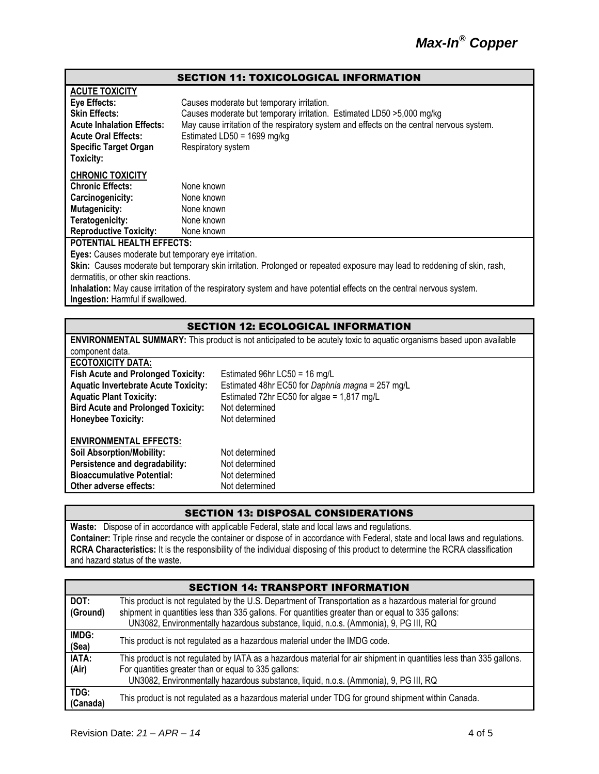#### SECTION 11: TOXICOLOGICAL INFORMATION

| <b>ACUTE TOXICITY</b>                                                                                                    |                                                                                           |  |  |
|--------------------------------------------------------------------------------------------------------------------------|-------------------------------------------------------------------------------------------|--|--|
| Eye Effects:                                                                                                             | Causes moderate but temporary irritation.                                                 |  |  |
| <b>Skin Effects:</b>                                                                                                     | Causes moderate but temporary irritation. Estimated LD50 > 5,000 mg/kg                    |  |  |
| <b>Acute Inhalation Effects:</b>                                                                                         | May cause irritation of the respiratory system and effects on the central nervous system. |  |  |
| <b>Acute Oral Effects:</b>                                                                                               | Estimated LD50 = $1699$ mg/kg                                                             |  |  |
| <b>Specific Target Organ</b>                                                                                             | Respiratory system                                                                        |  |  |
| Toxicity:                                                                                                                |                                                                                           |  |  |
| <b>CHRONIC TOXICITY</b>                                                                                                  |                                                                                           |  |  |
| <b>Chronic Effects:</b>                                                                                                  | None known                                                                                |  |  |
| Carcinogenicity:                                                                                                         | None known                                                                                |  |  |
| <b>Mutagenicity:</b>                                                                                                     | None known                                                                                |  |  |
| Teratogenicity:                                                                                                          | None known                                                                                |  |  |
| <b>Reproductive Toxicity:</b>                                                                                            | None known                                                                                |  |  |
| <b>POTENTIAL HEALTH EFFECTS:</b>                                                                                         |                                                                                           |  |  |
| Eyes: Causes moderate but temporary eye irritation.                                                                      |                                                                                           |  |  |
| Skin: Causes moderate but temporary skin irritation. Prolonged or repeated exposure may lead to reddening of skin, rash, |                                                                                           |  |  |
| dermatitis, or other skin reactions.                                                                                     |                                                                                           |  |  |
| Inhalation: May cause irritation of the respiratory system and have potential effects on the central nervous system.     |                                                                                           |  |  |
| Ingestion: Harmful if swallowed.                                                                                         |                                                                                           |  |  |

#### SECTION 12: ECOLOGICAL INFORMATION

| <b>ENVIRONMENTAL SUMMARY:</b> This product is not anticipated to be acutely toxic to aquatic organisms based upon available |                                                  |  |  |
|-----------------------------------------------------------------------------------------------------------------------------|--------------------------------------------------|--|--|
| component data.                                                                                                             |                                                  |  |  |
| <b>ECOTOXICITY DATA:</b>                                                                                                    |                                                  |  |  |
| <b>Fish Acute and Prolonged Toxicity:</b>                                                                                   | Estimated 96hr LC50 = 16 mg/L                    |  |  |
| <b>Aquatic Invertebrate Acute Toxicity:</b>                                                                                 | Estimated 48hr EC50 for Daphnia magna = 257 mg/L |  |  |
| Estimated 72hr EC50 for algae = $1,817$ mg/L<br><b>Aquatic Plant Toxicity:</b>                                              |                                                  |  |  |
| <b>Bird Acute and Prolonged Toxicity:</b>                                                                                   | Not determined                                   |  |  |
| <b>Honeybee Toxicity:</b>                                                                                                   | Not determined                                   |  |  |
| <b>ENVIRONMENTAL EFFECTS:</b>                                                                                               |                                                  |  |  |
| <b>Soil Absorption/Mobility:</b>                                                                                            | Not determined                                   |  |  |
| Persistence and degradability:                                                                                              | Not determined                                   |  |  |
| <b>Bioaccumulative Potential:</b>                                                                                           | Not determined                                   |  |  |
| Other adverse effects:                                                                                                      | Not determined                                   |  |  |

### SECTION 13: DISPOSAL CONSIDERATIONS

**Waste:** Dispose of in accordance with applicable Federal, state and local laws and regulations. **Container:** Triple rinse and recycle the container or dispose of in accordance with Federal, state and local laws and regulations. **RCRA Characteristics:** It is the responsibility of the individual disposing of this product to determine the RCRA classification and hazard status of the waste.

|                  | <b>SECTION 14: TRANSPORT INFORMATION</b>                                                                                                                                                                                                                                                                |
|------------------|---------------------------------------------------------------------------------------------------------------------------------------------------------------------------------------------------------------------------------------------------------------------------------------------------------|
| DOT:<br>(Ground) | This product is not regulated by the U.S. Department of Transportation as a hazardous material for ground<br>shipment in quantities less than 335 gallons. For quantities greater than or equal to 335 gallons:<br>UN3082, Environmentally hazardous substance, liquid, n.o.s. (Ammonia), 9, PG III, RQ |
| IMDG:<br>(Sea)   | This product is not regulated as a hazardous material under the IMDG code.                                                                                                                                                                                                                              |
| IATA:<br>(Air)   | This product is not regulated by IATA as a hazardous material for air shipment in quantities less than 335 gallons.<br>For quantities greater than or equal to 335 gallons:<br>UN3082, Environmentally hazardous substance, liquid, n.o.s. (Ammonia), 9, PG III, RQ                                     |
| TDG:<br>(Canada) | This product is not regulated as a hazardous material under TDG for ground shipment within Canada.                                                                                                                                                                                                      |